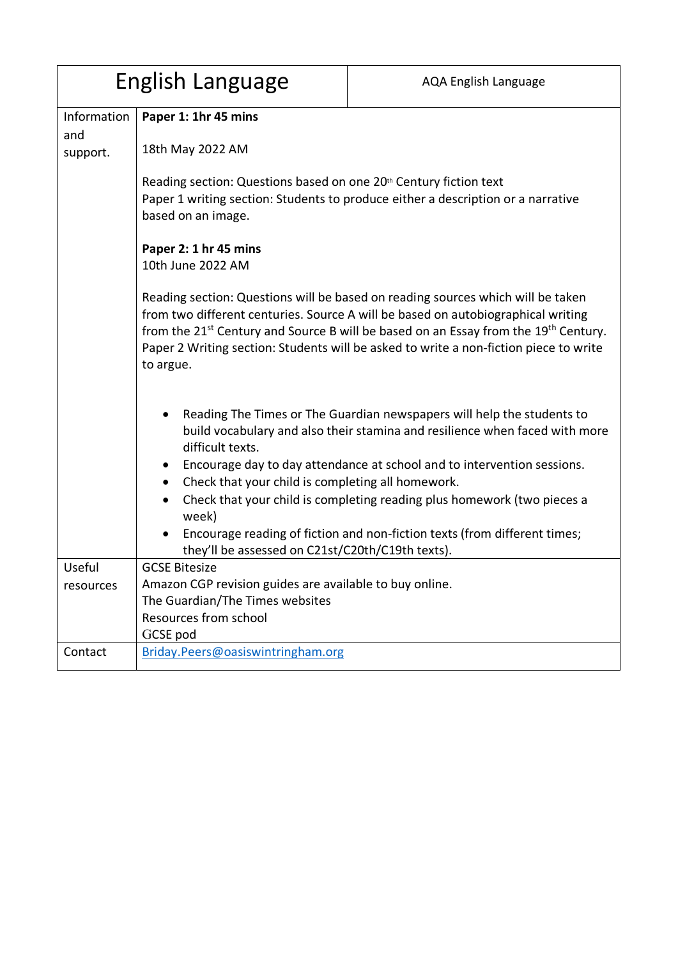| English Language |                                                                                                                                                                                                                                                                                                                                                                                          | <b>AQA English Language</b>                                                      |  |
|------------------|------------------------------------------------------------------------------------------------------------------------------------------------------------------------------------------------------------------------------------------------------------------------------------------------------------------------------------------------------------------------------------------|----------------------------------------------------------------------------------|--|
| Information      | Paper 1: 1hr 45 mins                                                                                                                                                                                                                                                                                                                                                                     |                                                                                  |  |
| and<br>support.  | 18th May 2022 AM                                                                                                                                                                                                                                                                                                                                                                         |                                                                                  |  |
|                  | Reading section: Questions based on one 20 <sup>th</sup> Century fiction text<br>based on an image.                                                                                                                                                                                                                                                                                      | Paper 1 writing section: Students to produce either a description or a narrative |  |
|                  | Paper 2: 1 hr 45 mins<br>10th June 2022 AM                                                                                                                                                                                                                                                                                                                                               |                                                                                  |  |
|                  | Reading section: Questions will be based on reading sources which will be taken<br>from two different centuries. Source A will be based on autobiographical writing<br>from the 21 <sup>st</sup> Century and Source B will be based on an Essay from the 19 <sup>th</sup> Century.<br>Paper 2 Writing section: Students will be asked to write a non-fiction piece to write<br>to argue. |                                                                                  |  |
|                  | Reading The Times or The Guardian newspapers will help the students to<br>$\bullet$<br>build vocabulary and also their stamina and resilience when faced with more<br>difficult texts.                                                                                                                                                                                                   |                                                                                  |  |
|                  | Encourage day to day attendance at school and to intervention sessions.<br>Check that your child is completing all homework.<br>$\bullet$                                                                                                                                                                                                                                                |                                                                                  |  |
|                  | week)                                                                                                                                                                                                                                                                                                                                                                                    | Check that your child is completing reading plus homework (two pieces a          |  |
|                  | they'll be assessed on C21st/C20th/C19th texts).                                                                                                                                                                                                                                                                                                                                         | Encourage reading of fiction and non-fiction texts (from different times;        |  |
| Useful           | <b>GCSE Bitesize</b>                                                                                                                                                                                                                                                                                                                                                                     |                                                                                  |  |
| resources        | Amazon CGP revision guides are available to buy online.                                                                                                                                                                                                                                                                                                                                  |                                                                                  |  |
|                  | The Guardian/The Times websites<br>Resources from school                                                                                                                                                                                                                                                                                                                                 |                                                                                  |  |
|                  | GCSE pod                                                                                                                                                                                                                                                                                                                                                                                 |                                                                                  |  |
| Contact          | Briday.Peers@oasiswintringham.org                                                                                                                                                                                                                                                                                                                                                        |                                                                                  |  |